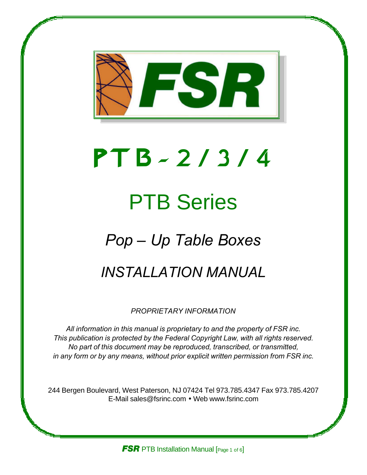

# *P T B - 2 / 3 / 4*

# PTB Series

# *Pop – Up Table Boxes*

## *INSTALLATION MANUAL*

*PROPRIETARY INFORMATION*

*All information in this manual is proprietary to and the property of FSR inc. This publication is protected by the Federal Copyright Law, with all rights reserved. No part of this document may be reproduced, transcribed, or transmitted, in any form or by any means, without prior explicit written permission from FSR inc.*

244 Bergen Boulevard, West Paterson, NJ 07424 Tel 973.785.4347 Fax 973.785.4207 E-Mail sales@fsrinc.com • Web www.fsrinc.com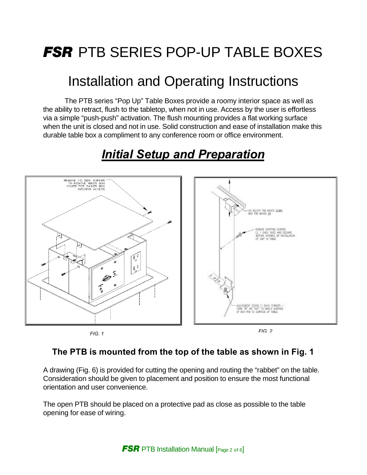## *FSR* PTB SERIES POP-UP TABLE BOXES

## Installation and Operating Instructions

The PTB series "Pop Up" Table Boxes provide a roomy interior space as well as the ability to retract, flush to the tabletop, when not in use. Access by the user is effortless via a simple "push-push" activation. The flush mounting provides a flat working surface when the unit is closed and not in use. Solid construction and ease of installation make this durable table box a compliment to any conference room or office environment.



## *Initial Setup and Preparation*

### **The PTB is mounted from the top of the table as shown in Fig. 1**

A drawing (Fig. 6) is provided for cutting the opening and routing the "rabbet" on the table. Consideration should be given to placement and position to ensure the most functional orientation and user convenience.

The open PTB should be placed on a protective pad as close as possible to the table opening for ease of wiring.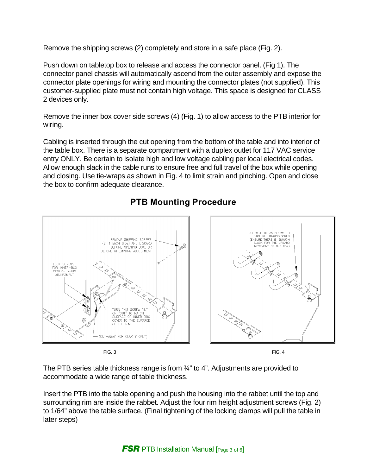Remove the shipping screws (2) completely and store in a safe place (Fig. 2).

Push down on tabletop box to release and access the connector panel. (Fig 1). The connector panel chassis will automatically ascend from the outer assembly and expose the connector plate openings for wiring and mounting the connector plates (not supplied). This customer-supplied plate must not contain high voltage. This space is designed for CLASS 2 devices only.

Remove the inner box cover side screws (4) (Fig. 1) to allow access to the PTB interior for wiring.

Cabling is inserted through the cut opening from the bottom of the table and into interior of the table box. There is a separate compartment with a duplex outlet for 117 VAC service entry ONLY. Be certain to isolate high and low voltage cabling per local electrical codes. Allow enough slack in the cable runs to ensure free and full travel of the box while opening and closing. Use tie-wraps as shown in Fig. 4 to limit strain and pinching. Open and close the box to confirm adequate clearance.



## **PTB Mounting Procedure**

FIG. 3 FIG. 4

The PTB series table thickness range is from  $\frac{3}{4}$ " to 4". Adjustments are provided to accommodate a wide range of table thickness.

Insert the PTB into the table opening and push the housing into the rabbet until the top and surrounding rim are inside the rabbet. Adjust the four rim height adjustment screws (Fig. 2) to 1/64" above the table surface. (Final tightening of the locking clamps will pull the table in later steps)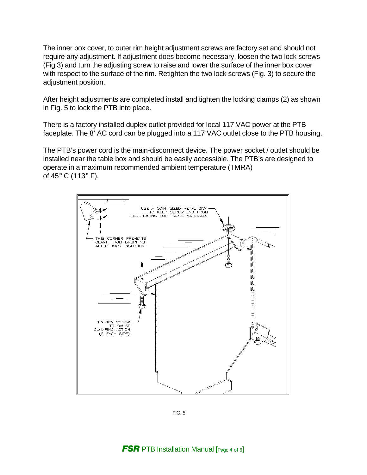The inner box cover, to outer rim height adjustment screws are factory set and should not require any adjustment. If adjustment does become necessary, loosen the two lock screws (Fig 3) and turn the adjusting screw to raise and lower the surface of the inner box cover with respect to the surface of the rim. Retighten the two lock screws (Fig. 3) to secure the adjustment position.

After height adjustments are completed install and tighten the locking clamps (2) as shown in Fig. 5 to lock the PTB into place.

There is a factory installed duplex outlet provided for local 117 VAC power at the PTB faceplate. The 8' AC cord can be plugged into a 117 VAC outlet close to the PTB housing.

The PTB's power cord is the main-disconnect device. The power socket / outlet should be installed near the table box and should be easily accessible. The PTB's are designed to operate in a maximum recommended ambient temperature (TMRA) of 45 $\degree$  C (113 $\degree$  F).



FIG. 5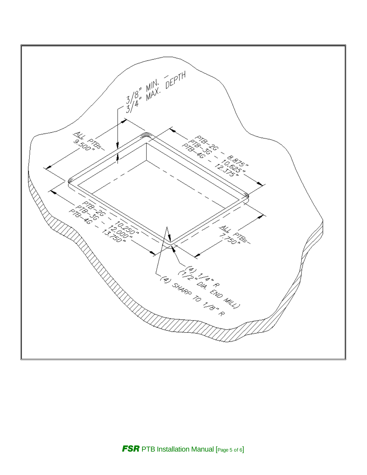